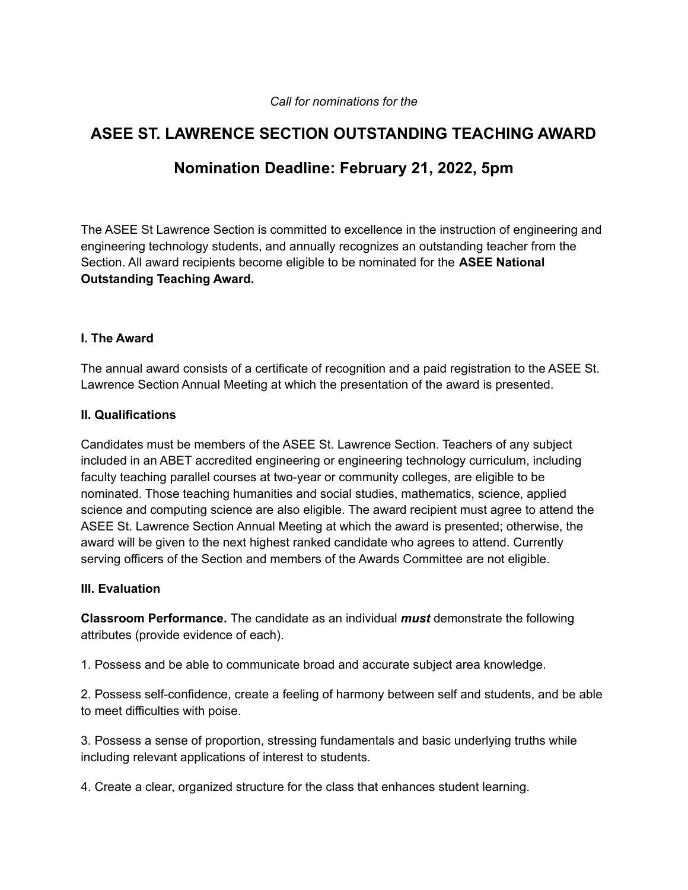#### *Call for nominations for the*

# **ASEE ST. LAWRENCE SECTION OUTSTANDING TEACHING AWARD**

# **Nomination Deadline: February 21, 2022, 5pm**

The ASEE St Lawrence Section is committed to excellence in the instruction of engineering and engineering technology students, and annually recognizes an outstanding teacher from the Section. All award recipients become eligible to be nominated for the **ASEE National Outstanding Teaching Award.**

#### **I. The Award**

The annual award consists of a certificate of recognition and a paid registration to the ASEE St. Lawrence Section Annual Meeting at which the presentation of the award is presented.

#### **II. Qualifications**

Candidates must be members of the ASEE St. Lawrence Section. Teachers of any subject included in an ABET accredited engineering or engineering technology curriculum, including faculty teaching parallel courses at two-year or community colleges, are eligible to be nominated. Those teaching humanities and social studies, mathematics, science, applied science and computing science are also eligible. The award recipient must agree to attend the ASEE St. Lawrence Section Annual Meeting at which the award is presented; otherwise, the award will be given to the next highest ranked candidate who agrees to attend. Currently serving officers of the Section and members of the Awards Committee are not eligible.

#### **III. Evaluation**

**Classroom Performance.** The candidate as an individual *must* demonstrate the following attributes (provide evidence of each).

1. Possess and be able to communicate broad and accurate subject area knowledge.

2. Possess self-confidence, create a feeling of harmony between self and students, and be able to meet difficulties with poise.

3. Possess a sense of proportion, stressing fundamentals and basic underlying truths while including relevant applications of interest to students.

4. Create a clear, organized structure for the class that enhances student learning.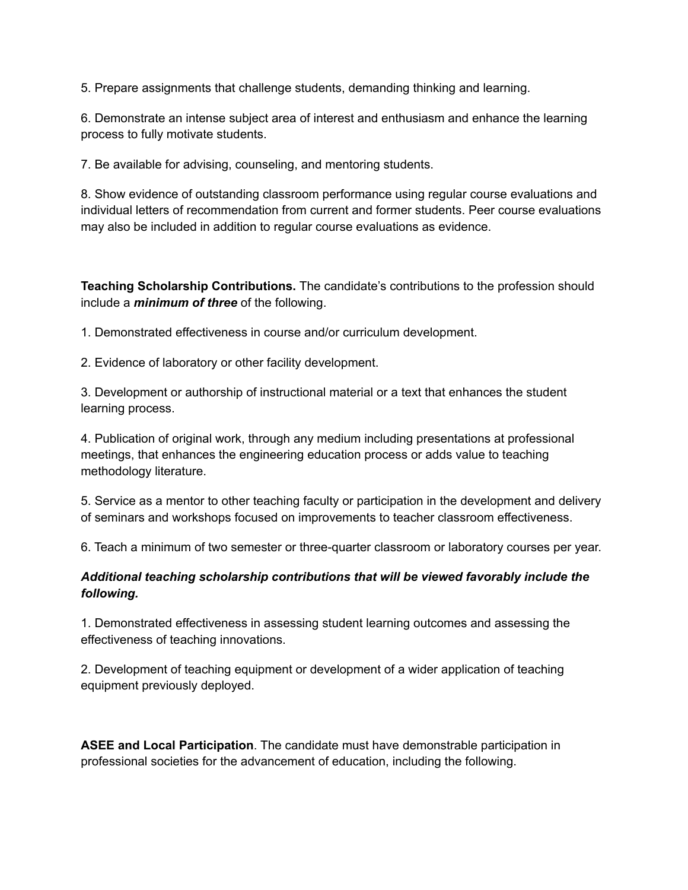5. Prepare assignments that challenge students, demanding thinking and learning.

6. Demonstrate an intense subject area of interest and enthusiasm and enhance the learning process to fully motivate students.

7. Be available for advising, counseling, and mentoring students.

8. Show evidence of outstanding classroom performance using regular course evaluations and individual letters of recommendation from current and former students. Peer course evaluations may also be included in addition to regular course evaluations as evidence.

**Teaching Scholarship Contributions.** The candidate's contributions to the profession should include a *minimum of three* of the following.

1. Demonstrated effectiveness in course and/or curriculum development.

2. Evidence of laboratory or other facility development.

3. Development or authorship of instructional material or a text that enhances the student learning process.

4. Publication of original work, through any medium including presentations at professional meetings, that enhances the engineering education process or adds value to teaching methodology literature.

5. Service as a mentor to other teaching faculty or participation in the development and delivery of seminars and workshops focused on improvements to teacher classroom effectiveness.

6. Teach a minimum of two semester or three-quarter classroom or laboratory courses per year.

# *Additional teaching scholarship contributions that will be viewed favorably include the following.*

1. Demonstrated effectiveness in assessing student learning outcomes and assessing the effectiveness of teaching innovations.

2. Development of teaching equipment or development of a wider application of teaching equipment previously deployed.

**ASEE and Local Participation**. The candidate must have demonstrable participation in professional societies for the advancement of education, including the following.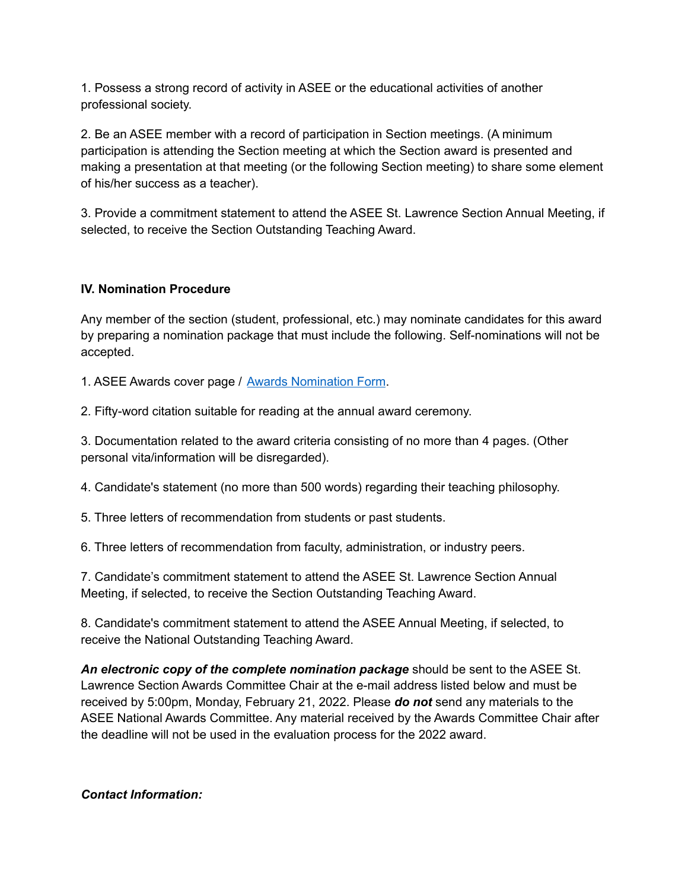1. Possess a strong record of activity in ASEE or the educational activities of another professional society.

2. Be an ASEE member with a record of participation in Section meetings. (A minimum participation is attending the Section meeting at which the Section award is presented and making a presentation at that meeting (or the following Section meeting) to share some element of his/her success as a teacher).

3. Provide a commitment statement to attend the ASEE St. Lawrence Section Annual Meeting, if selected, to receive the Section Outstanding Teaching Award.

### **IV. Nomination Procedure**

Any member of the section (student, professional, etc.) may nominate candidates for this award by preparing a nomination package that must include the following. Self-nominations will not be accepted.

1. ASEE Awards cover page / Awards [Nomination](https://sites.asee.org/stl/wp-content/uploads/sites/43/2019/08/ASEE-Award-Nomination-Form.pdf) Form.

2. Fifty-word citation suitable for reading at the annual award ceremony.

3. Documentation related to the award criteria consisting of no more than 4 pages. (Other personal vita/information will be disregarded).

4. Candidate's statement (no more than 500 words) regarding their teaching philosophy.

5. Three letters of recommendation from students or past students.

6. Three letters of recommendation from faculty, administration, or industry peers.

7. Candidate's commitment statement to attend the ASEE St. Lawrence Section Annual Meeting, if selected, to receive the Section Outstanding Teaching Award.

8. Candidate's commitment statement to attend the ASEE Annual Meeting, if selected, to receive the National Outstanding Teaching Award.

*An electronic copy of the complete nomination package* should be sent to the ASEE St. Lawrence Section Awards Committee Chair at the e-mail address listed below and must be received by 5:00pm, Monday, February 21, 2022. Please *do not* send any materials to the ASEE National Awards Committee. Any material received by the Awards Committee Chair after the deadline will not be used in the evaluation process for the 2022 award.

# *Contact Information:*